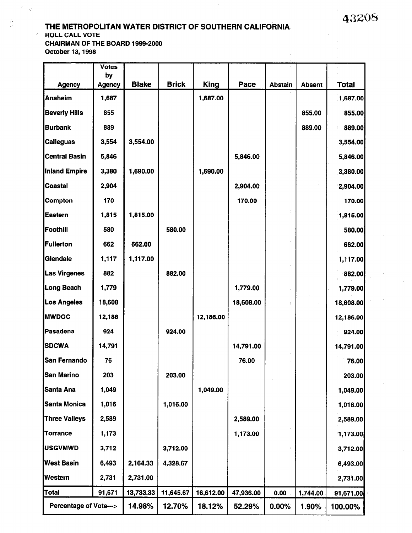43208

#### THE METROPOLITAN WATER DISTRICT OF SOUTHERN CALIFORNIA ROLL CALL VOTE CHAIRMAN OF THE BOARD 1999-2000

October 13,1996

 $\mathcal{L}$ 

 $\mathcal{L}$ ic.

岳星

|                                  | <b>Votes</b>        |              |              |             |           |                |               |              |
|----------------------------------|---------------------|--------------|--------------|-------------|-----------|----------------|---------------|--------------|
| <b>Agency</b>                    | by<br><b>Agency</b> | <b>Blake</b> | <b>Brick</b> | <b>King</b> | Pace      | <b>Abstain</b> | <b>Absent</b> | <b>Total</b> |
| <b>Anaheim</b>                   | 1,687               |              |              | 1,687.00    |           |                |               | 1,687.00     |
| <b>Beverly Hills</b>             | 855                 |              |              |             |           |                | 855.00        | 855.00       |
| <b>Burbank</b>                   | 889                 |              |              |             |           |                | 889.00        | 889.00       |
| <b>Calleguas</b>                 | 3,554               | 3,554.00     |              |             |           |                |               | 3,554.00     |
| <b>Central Basin</b>             | 5,846               |              |              |             | 5,846.00  |                |               | 5,846.00     |
| Inland Empire                    | 3,380               | 1,690.00     |              | 1,690.00    |           |                |               | 3,380.00     |
| <b>Coastal</b>                   | 2,904               |              |              |             | 2,904.00  |                |               | 2,904.00     |
| <b>Compton</b>                   | 170                 |              |              |             | 170.00    |                |               | 170.00       |
| <b>Eastern</b>                   | 1,815               | 1,815.00     |              |             |           |                |               | 1,815.00     |
| Foothill                         | 580                 |              | 580.00       |             |           |                |               | 580.00       |
| <b>Fullerton</b>                 | 662                 | 662.00       |              |             |           |                |               | 662.00       |
| Glendale                         | 1,117               | 1,117.00     |              |             |           |                |               | 1,117.00     |
| <b>Las Virgenes</b>              | 882                 |              | 882.00       |             |           |                |               | 882.00       |
| Long Beach                       | 1,779               |              |              |             | 1,779.00  |                |               | 1,779.00     |
| <b>Los Angeles</b>               | 18,608              |              |              |             | 18,608.00 |                |               | 18,608.00    |
| <b>MWDOC</b>                     | 12,186              |              |              | 12,186.00   |           |                |               | 12,186.00    |
| Pasadena                         | 924                 |              | 924.00       |             |           |                |               | 924.00       |
| <b>SDCWA</b>                     | 14,791              |              |              |             | 14,791.00 |                |               | 14,791.00    |
| <b>San Fernando</b>              | 76                  |              |              |             | 76.00     |                |               | 76.00        |
| <b>San Marino</b>                | 203                 |              | 203.00       |             |           |                |               | 203.00       |
| Santa Ana                        | 1,049               |              |              | 1,049.00    |           |                |               | 1,049.00     |
| Santa Monica                     | 1,016               |              | 1,016.00     |             |           |                |               | 1,016.00     |
| <b>Three Valleys</b>             | 2,589               |              |              |             | 2,589.00  |                |               | 2,589.00     |
| <b>Torrance</b>                  | 1,173               |              |              |             | 1,173.00  |                |               | 1,173.00     |
| <b>USGVMWD</b>                   | 3,712               |              | 3,712.00     |             |           |                |               | 3,712.00     |
| <b>West Basin</b>                | 6,493               | 2,164.33     | 4,328.67     |             |           |                |               | 6,493.00     |
| Western                          | 2,731               | 2,731.00     |              |             |           |                |               | 2,731.00     |
| Total                            | 91,671              | 13,733.33    | 11,645.67    | 16,612.00   | 47,936.00 | 0.00           | 1,744.00      | 91,671.00    |
| <b>Percentage of Vote---&gt;</b> |                     | 14.98%       | 12.70%       | 18.12%      | 52.29%    | $0.00\%$       | 1.90%         | 100.00%      |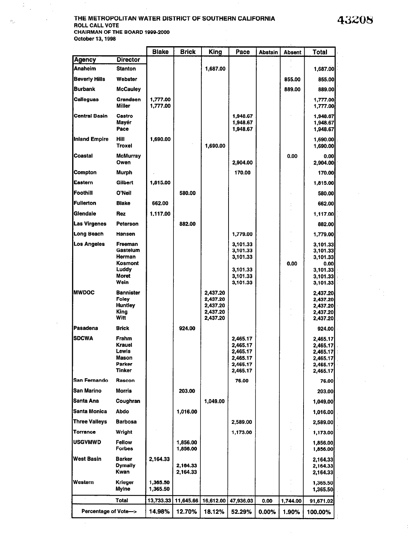### 43208

÷.

 $\frac{1}{\alpha}$ 

 $\mathcal{L}_{\mathrm{in}}$ 

à.

#### THE METROPOLITAN WATER DISTRICT OF SOUTHERN CALIFORNIA ROLL CALL VOTE CHAIRMAN OF THE BOARD 1999-2000 October 13,1998  $\mathcal{A}^{\mathcal{A}}$

 $\bar{z}$ 

ċ

 $\psi_{11}$ 

|                        |                                                                           | <b>Blake</b>         | <b>Brick</b>         | <b>King</b>                                              | Pace                                                                 | <b>Abstain</b> | <b>Absent</b> | <b>Total</b>                                                                 |
|------------------------|---------------------------------------------------------------------------|----------------------|----------------------|----------------------------------------------------------|----------------------------------------------------------------------|----------------|---------------|------------------------------------------------------------------------------|
| <b>Agency</b>          | <b>Director</b>                                                           |                      |                      |                                                          |                                                                      |                |               |                                                                              |
| Anaheim                | <b>Stanton</b>                                                            |                      |                      | 1,687.00                                                 |                                                                      |                |               | 1,687.00                                                                     |
| <b>Beverly Hills</b>   | Webster                                                                   |                      |                      |                                                          |                                                                      |                | 855.00        | 855.00                                                                       |
| Burbank                | <b>McCauley</b>                                                           |                      |                      |                                                          |                                                                      |                | 889.00        | 889.00                                                                       |
| Calleguas              | Grandsen<br>Miller                                                        | 1,777.00<br>1,777.00 |                      |                                                          |                                                                      |                |               | 1,777.00<br>1,777.00                                                         |
| <b>Central Basin</b>   | Castro<br>Mavér<br>Pace                                                   |                      |                      |                                                          | 1,948.67<br>1,948.67<br>1,948.67                                     |                |               | 1,948.67<br>1,948.67<br>1,948.67                                             |
| Inland Empire          | Hill<br><b>Troxel</b>                                                     | 1,690.00             |                      | 1,690.00                                                 |                                                                      |                |               | 1,690.00<br>1,690.00                                                         |
| Coastal                | <b>McMurray</b><br>Owen                                                   |                      |                      |                                                          | 2,904.00                                                             |                | 0.00          | 0.00<br>2,904.00                                                             |
| <b>Compton</b>         | Murph                                                                     |                      |                      |                                                          | 170.00                                                               |                |               | 170.00                                                                       |
| Eastern                | Gilbert                                                                   | 1,815.00             |                      |                                                          |                                                                      |                |               | 1,815.00                                                                     |
| Foothill               | O'Neil                                                                    |                      | 580.00               |                                                          |                                                                      |                |               | 580.00                                                                       |
| Fullerton              | <b>Blake</b>                                                              | 662.00               |                      |                                                          |                                                                      |                |               | 662.00                                                                       |
| Glendale               | <b>Rez</b>                                                                | 1,117.00             |                      |                                                          |                                                                      |                |               | 1,117.00                                                                     |
| Las Virgenes           | Peterson                                                                  |                      | 882.00               |                                                          |                                                                      |                |               | 882.00                                                                       |
| Long Beach             | Hansen                                                                    |                      |                      |                                                          | 1,779.00                                                             |                |               | 1,779.00                                                                     |
| Los Angeles            | Freeman<br>Gastelum<br>Herman<br>Kosmont<br>Luddy<br><b>Moret</b><br>Wein |                      |                      |                                                          | 3,101.33<br>3,101.33<br>3,101.33<br>3,101.33<br>3,101.33<br>3,101.33 |                | 0.00          | 3,101.33<br>3,101.33<br>3,101.33<br>0.00<br>3,101.33<br>3,101.33<br>3,101.33 |
| <b>IMWDOC</b>          | <b>Bannister</b><br>Foley<br><b>Huntley</b><br>King<br>Witt               |                      |                      | 2,437.20<br>2,437.20<br>2,437.20<br>2,437.20<br>2,437.20 |                                                                      |                |               | 2,437.20<br>2,437.20<br>2,437.20<br>2,437.20<br>2,437.20                     |
| Pasadena               | <b>Brick</b>                                                              |                      | 924.00               |                                                          |                                                                      |                |               | 924.00                                                                       |
| <b>SDCWA</b>           | Frahm<br><b>Krauel</b><br>Lewis<br>Mason<br>Parker<br><b>Tinker</b>       |                      |                      |                                                          | 2,465.17<br>2,465.17<br>2,465.17<br>2,465.17<br>2,465.17<br>2,465.17 |                |               | 2,465.17<br>2,465.17<br>2,465,17<br>2,465.17<br>2,465.17<br>2,465.17         |
| San Fernando           | Rascon                                                                    |                      |                      |                                                          | 76.00                                                                |                |               | 76.00                                                                        |
| San Marino             | <b>Morris</b>                                                             |                      | 203.00               |                                                          |                                                                      |                |               | 203.00                                                                       |
| Santa Ana              | Coughran                                                                  |                      |                      | 1,049.00                                                 |                                                                      |                |               | 1,049.00                                                                     |
| Santa Monica           | <b>Abdo</b>                                                               |                      | 1,016.00             |                                                          |                                                                      |                |               | 1,016.00                                                                     |
| <b>Three Valleys</b>   | <b>Barbosa</b>                                                            |                      |                      |                                                          | 2,589.00                                                             |                |               | 2,589.00                                                                     |
| <b>Torrance</b>        | Wright                                                                    |                      |                      |                                                          | 1,173.00                                                             |                |               | 1,173.00                                                                     |
| <b>USGVMWD</b>         | <b>Fellow</b><br><b>Forbes</b>                                            |                      | 1,856.00<br>1,856.00 |                                                          |                                                                      |                |               | 1,856.00<br>1,856.00                                                         |
| West Basin             | <b>Barker</b><br><b>Dymally</b><br>Kwan                                   | 2,164.33             | 2,164.33<br>2,164.33 |                                                          |                                                                      |                |               | 2,164.33<br>2,164.33<br>2,164.33                                             |
| Western                | <b>Krieger</b><br>Myine                                                   | 1,365.50<br>1,365.50 |                      |                                                          |                                                                      |                |               | 1,365.50<br>1,365.50                                                         |
|                        | Total                                                                     | 13,733.33            | 11,645.66            | 16,612.00                                                | 47,936.03                                                            | 0.00           | 1,744.00      | 91,671.02                                                                    |
| Percentage of Vote---> |                                                                           | 14.98%               | 12.70%               | 18.12%                                                   | 52.29%                                                               | 0.00%          | 1.90%         | 100.00%                                                                      |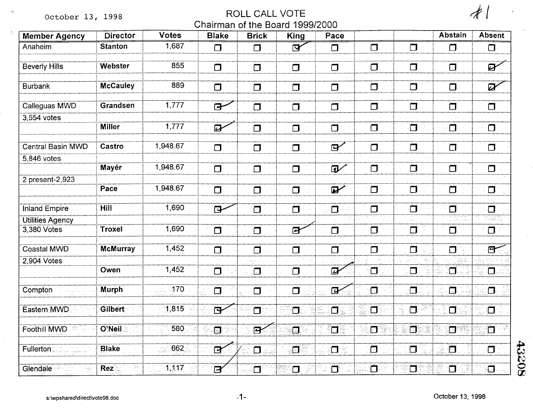October 13, 1998

 $\mathbf{C}$ 

## ROLL CALL VOTE Chairman of the Board 1999/2000

| $\overline{\mathcal{A}}$ |  |
|--------------------------|--|
|                          |  |

 $\lambda$  .

| <b>Member Agency</b>            | <b>Director</b> | Votes    | <b>Blake</b>            | <b>Brick</b>       | King          | Pace              |             |        | <b>Abstain</b> | Absent                    |
|---------------------------------|-----------------|----------|-------------------------|--------------------|---------------|-------------------|-------------|--------|----------------|---------------------------|
| Anaheim                         | <b>Stanton</b>  | 1,687    | $\Box$                  | $\Box$             | $\mathbf{B}'$ | $\Box$            | $\Box$      | $\Box$ | $\Box$         | $\Box$                    |
| <b>Beverly Hills</b>            | Webster         | 855      | $\Box$                  | $\Box$             | ◘             | $\Box$            | $\Box$      | $\Box$ | $\Box$         | Ø                         |
| <b>Burbank</b>                  | <b>McCauley</b> | 889      | $\Box$                  | $\Box$             | $\Box$        | $\Box$            | $\Box$      | $\Box$ | $\Box$         | $\boldsymbol{\mathsf{Z}}$ |
| Calleguas MWD                   | Grandsen        | 1,777    | $\mathbf{F}$            | $\Box$             | $\Box$        | $\Box$            | $\Box$      | $\Box$ | $\Box$         | $\Box$                    |
| 3,554 votes                     | <b>Miller</b>   | 7,777    | $\overline{a}$          | $\Box$             | $\Box$        | $\Box$            | $\Box$      | ī      | $\cdot \Box$   | $\Box$                    |
| <b>Central Basin MWD</b>        | Castro          | 1,948.67 | $\Box$                  | $\Box$             | $\Box$        | $\mathbf{B}'$     | $\Box$      | $\Box$ | $\Box$         | $\Box$                    |
| 5,846 votes                     | Mayér           | 1,948.67 | $\Box$                  | $\Box$             | $\Box$        | $\mathbf{D}$      | $\Box$      | $\Box$ | $\Box$         | $\Box$                    |
| 2 present-2,923                 | Pace            | 1,948.67 | $\Box$                  | $\Box$             | $\Box$        | $\boldsymbol{p}'$ | $\Box$      | $\Box$ | $\Box$         | $\Box$                    |
| <b>Inland Empire</b>            | <b>Hill</b>     | 1,690    | $\mathbf{F}$            | $\Box$             | $\Box$        | $\blacksquare$    | $\Box$      | $\Box$ | $\Box$         | $\Box$                    |
| Utilities Agency<br>3,380 Votes | <b>Troxel</b>   | 1,690    | $\Box$                  | $\Box$             | 囝             | $\Box$            | $\Box$      | $\Box$ | $\Box$         | $\Box$                    |
| <b>Coastal MWD</b>              | <b>McMurray</b> | 1,452    | $\Box$                  | $\Box$             | $\Box$        | $\Box$            | $\Box$      | $\Box$ | П              | E                         |
| 2,904 Votes                     | Owen            | 1,452    | $\Box$                  | $\Box$             | $\Box$        | $\overline{a}$    | ිට          | $\Box$ | $\Box$         | Ō.                        |
| Compton                         | <b>Murph</b>    | 170      | $\Box$                  | $\Box$             | $\Box$        | $\overline{B}$    | $\Box$      | $\Box$ | Ō              | $\Box$                    |
| Eastern MWD                     | Gilbert         | 7,815    | $\mathbf{F}$            | $\Box$             | Ō             | $\Box$            | $\Box$      | $\Box$ | $\Box$         | Ō                         |
| Foothill MWD                    | O'Neil          | 580      | ान                      | $\mathbf{R}$       | $\Box$        | π                 | $\Box$<br>m | đ      | Ħ              | $\Box$                    |
| Fullerton                       | <b>Blake</b>    | 662      | $\overline{B}$          | $\Box$             | Ō             | $\Box$            | $\Box$      | $\Box$ | ō              | $\Box$                    |
| Glendale                        | Rez             | 1,117    | $\overline{\mathbf{P}}$ | $\boldsymbol{\Pi}$ | $\Box$        | $\Box$            | Ó           | $\Box$ | $\Box$         | $\cdot \mathbf{D}$        |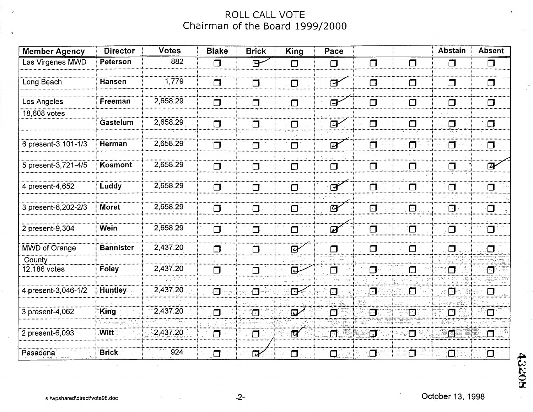# ROLL CALL VOTE Chairman of the Board 1999/2000

| <b>Member Agency</b> | <b>Director</b>  | <b>Votes</b> | <b>Blake</b> | <b>Brick</b> | <b>King</b>    | Pace                       |        |          | <b>Abstain</b> | <b>Absent</b>             |
|----------------------|------------------|--------------|--------------|--------------|----------------|----------------------------|--------|----------|----------------|---------------------------|
| Las Virgenes MWD     | Peterson         | 882          | $\Box$       | 日            | $\Box$         | $\Box$                     | $\Box$ | $\Box$   | $\Box$         | $\Box$                    |
| Long Beach           | Hansen           | 1,779        |              |              |                |                            |        | $\sqcap$ | $\Box$         |                           |
|                      |                  |              | $\Box$       | $\Box$       | $\Box$         | $\mathbf{F}$               | $\Box$ |          |                |                           |
| Los Angeles          | Freeman          | 2,658.29     | ◘            | $\Box$       | $\Box$         | $\mathbf{B}$               | $\Box$ | $\Box$   | $\Box$         | $\Box$                    |
| 18,608 votes         |                  |              |              |              |                |                            |        |          |                |                           |
|                      | Gastelum         | 2,658.29     | $\Box$       | $\Box$       | $\Box$         | $\overline{a}$             | $\Box$ | $\Box$   | $\Box$         | <u>іп</u>                 |
| 6 present-3, 101-1/3 | Herman           | 2,658.29     |              |              |                | $\mathbb{Z}$               |        | $\Box$   | $\Box$         |                           |
|                      |                  |              | $\Box$       | $\Box$       | $\Box$         |                            | $\Box$ |          |                | $\Box$                    |
| 5 present-3,721-4/5  | Kosmont          | 2,658.29     | $\Box$       | $\Box$       | $\Box$         | $\Box$                     | $\Box$ | $\Box$   | $\Box$         | $\boldsymbol{\mathsf{Z}}$ |
|                      |                  |              |              |              |                |                            |        |          |                |                           |
| 4 present-4,652      | Luddy            | 2,658.29     | $\Box$       | $\Box$       | $\Box$         | $\mathbf{B}^{\prime}$      | $\Box$ | $\Box$   | $\Box$         | $\Box$                    |
| 3 present-6, 202-2/3 | <b>Moret</b>     | 2,658.29     |              |              |                | $\overline{a}$             | $\Box$ | $\Box$   | $\Box$         |                           |
|                      |                  |              | $\Box$       | $\Box$       | $\Box$         |                            |        |          |                | $\Box$                    |
| 2 present-9,304      | Wein             | 2,658.29     | $\Box$       | $\Box$       | $\Box$         | $\boldsymbol{\mathcal{Z}}$ | $\Box$ | $\Box$   | $\Box$         | $\Box$                    |
| <b>MWD of Orange</b> | <b>Bannister</b> | 2,437.20     | $\Box$       | $\Box$       | $\overline{Q}$ | $\Box$                     | $\Box$ | $\Box$   | $\Box$         | $\Box$                    |
| County               |                  |              |              |              |                |                            |        |          |                |                           |
| 12,186 votes         | <b>Foley</b>     | 2,437.20     | ⊓            |              | 口              | O                          | $\Box$ | $\Box$   | $\Box$         | 汩                         |
| 4 present-3,046-1/2  | <b>Huntley</b>   | 2,437.20     |              |              |                |                            |        |          |                |                           |
|                      |                  |              | П            | $\Box$       | া≁             | $\mathbf{C}$               | Ĵ7     | 曰        | $\Box$         | $\Box$                    |
| 3 present-4,062      | King             | 2,437.20     | $\Box$       | $\Box$       | $\mathbf{D}'$  | 汩                          | Ō      | $\Box$   | $\Box$         | $\Box$                    |
|                      |                  |              |              |              |                |                            |        |          |                |                           |
| 2 present-6,093      | Witt             | 2,437.20     | □            | $\Box$       | ্যে∕           | $\Box$                     | Ō      | Ō        | Ô              | $\blacksquare$            |
| Pasadena             | <b>Brick</b>     | 924          | ◘            | $\mathbf{P}$ | $\Box$         | 0                          | $\Box$ | $\Box$   | $\Box$         | О                         |

43208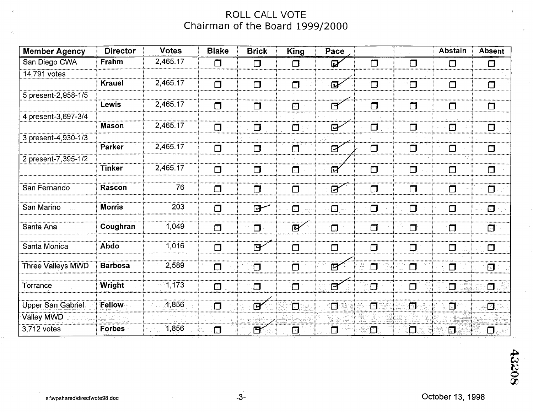# ROLL CALL VOTE Chairman of the Board 1999/2000

| <b>Member Agency</b> | <b>Director</b> | <b>Votes</b>                                 | <b>Blake</b> | <b>Brick</b>   | <b>King</b>             | Pace                       |                     |        | <b>Abstain</b> | Absent                  |
|----------------------|-----------------|----------------------------------------------|--------------|----------------|-------------------------|----------------------------|---------------------|--------|----------------|-------------------------|
| San Diego CWA        | Frahm           | 2,465.17                                     | $\Box$       | $\Box$         | $\Box$                  | $\boldsymbol{Z}$           | $\Box$              | $\Box$ | $\Box$         | $\Box$                  |
| 14,791 votes         |                 |                                              |              |                |                         |                            |                     |        |                |                         |
|                      | <b>Krauel</b>   | 2,465.17                                     | $\Box$       | $\Box$         | Π                       | $\mathbf{F}$               | $\Box$              |        | $\Box$         | $\Box$                  |
| 5 present-2,958-1/5  |                 |                                              |              |                |                         |                            |                     |        |                |                         |
|                      | Lewis           | 2,465.17                                     |              | J              |                         | ৰি                         |                     |        |                | $\Box$                  |
| 4 present-3,697-3/4  |                 |                                              |              |                |                         |                            |                     |        |                |                         |
|                      | <b>Mason</b>    | 2,465.17                                     | $\Box$       | $\Box$         | $\Box$                  | $\mathbf{B}$               | $\Box$              | ⊓      |                | $\Box$                  |
| 3 present-4,930-1/3  |                 |                                              |              |                |                         |                            |                     |        |                |                         |
|                      | Parker          | 2,465.17                                     | $\Box$       | Π              | Π                       | $\boldsymbol{\sigma}$      | $\Box$              | Г      |                | $\Box$                  |
| 2 present-7,395-1/2  |                 |                                              |              |                |                         |                            |                     |        |                |                         |
|                      | <b>Tinker</b>   | 2,465.17                                     | $\Box$       | $\Box$         | $\Box$                  | $\boldsymbol{\mathcal{G}}$ | $\Box$              |        |                |                         |
| San Fernando         | Rascon          | 76                                           | $\Box$       | $\Box$         | $\Box$                  | $\overline{a}$             | $\Box$              | $\Box$ | ⊓              |                         |
| San Marino           | <b>Morris</b>   | 203                                          | $\Box$       | $\mathbf{F}$   | $\Box$                  | $\Box$                     | $\Box$              | $\Box$ | $\Box$         | П                       |
| Santa Ana            | Coughran        | 1,049                                        | $\Box$       | $\Box$         | $\overline{\mathbf{p}}$ | $\Box$                     | Π                   | $\Box$ | $\Box$         | $\Box$                  |
| Santa Monica         | <b>Abdo</b>     | 1,016                                        | $\Box$       | $\mathbf{F}$   | $\Box$                  | $\Box$                     | $\Box$              | $\Box$ | $\Box$         | $\Box$                  |
| Three Valleys MWD    | <b>Barbosa</b>  | 2,589                                        | $\Box$       | $\Box$         | $\Box$                  | $\overline{B}$             | Æ,<br>$\Box$        |        | $\Box$         | $\blacksquare$          |
| Torrance             | Wright          | 1,173                                        | $\Box$       | $\Box$         | $\Box$                  | Ē                          | $\boldsymbol{\Box}$ | $\Box$ | $\Box$         | $\Box$                  |
| Upper San Gabriel    | Fellow          | 1,856                                        | $\Box$       | $\overline{H}$ | $\Box$                  | ்                          | $\overline{\Box}$   | $\Box$ | ្ថិច           | 조크                      |
| Valley MWD           |                 |                                              |              |                |                         |                            |                     |        |                |                         |
| 3,712 votes          | <b>Forbes</b>   | 1,856<br>$\mathcal{I}\mathcal{I}_\mathrm{A}$ | ැල           | $\mathbf{F}$   | Ū                       | 冂                          | $\Box$              | $\Box$ | $\Box$         | $\vert \bm{\Box} \vert$ |